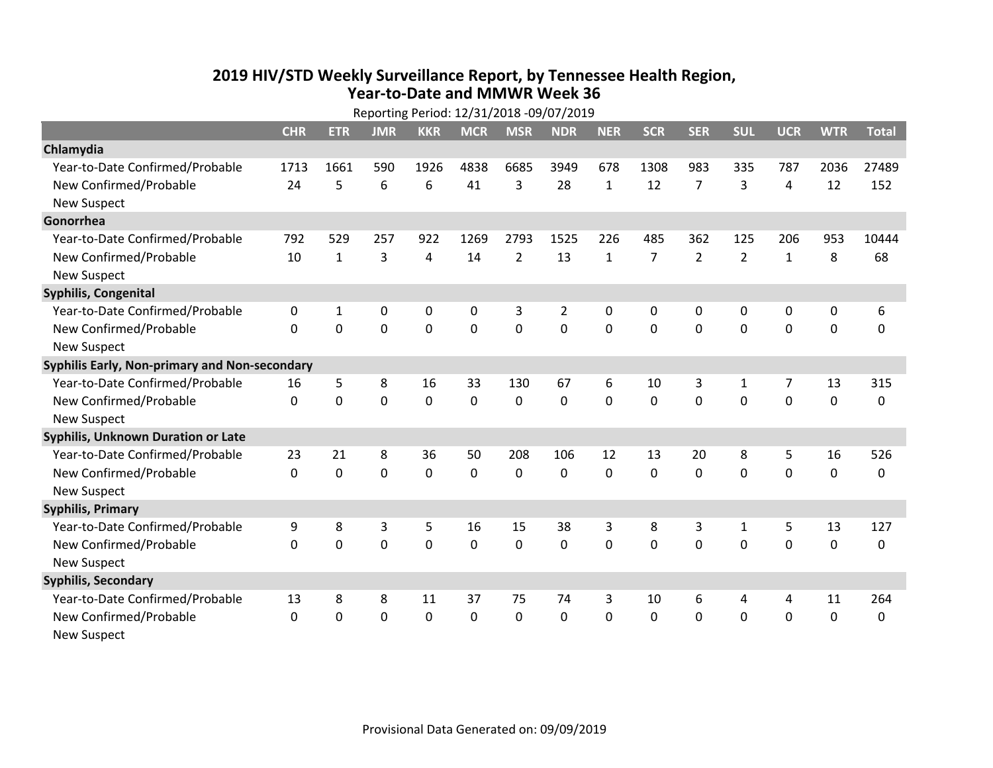## **2019 HIV /STD Weekly Surveillance Report, by Tennessee Health Region, Year‐to‐Date and MMWR Week 36** Reporting Period: 12/31/2018 ‐09/07/2019

| Reporting Period: 12/31/2018 -09/07/2019      |              |              |            |            |             |                |                |              |                |                |                |                |             |              |
|-----------------------------------------------|--------------|--------------|------------|------------|-------------|----------------|----------------|--------------|----------------|----------------|----------------|----------------|-------------|--------------|
|                                               | <b>CHR</b>   | <b>ETR</b>   | <b>JMR</b> | <b>KKR</b> | <b>MCR</b>  | <b>MSR</b>     | <b>NDR</b>     | <b>NER</b>   | <b>SCR</b>     | <b>SER</b>     | <b>SUL</b>     | <b>UCR</b>     | <b>WTR</b>  | <b>Total</b> |
| Chlamydia                                     |              |              |            |            |             |                |                |              |                |                |                |                |             |              |
| Year-to-Date Confirmed/Probable               | 1713         | 1661         | 590        | 1926       | 4838        | 6685           | 3949           | 678          | 1308           | 983            | 335            | 787            | 2036        | 27489        |
| New Confirmed/Probable                        | 24           | 5            | 6          | 6          | 41          | 3              | 28             | $\mathbf{1}$ | 12             | $\overline{7}$ | 3              | 4              | 12          | 152          |
| <b>New Suspect</b>                            |              |              |            |            |             |                |                |              |                |                |                |                |             |              |
| Gonorrhea                                     |              |              |            |            |             |                |                |              |                |                |                |                |             |              |
| Year-to-Date Confirmed/Probable               | 792          | 529          | 257        | 922        | 1269        | 2793           | 1525           | 226          | 485            | 362            | 125            | 206            | 953         | 10444        |
| New Confirmed/Probable                        | 10           | $\mathbf{1}$ | 3          | 4          | 14          | $\overline{2}$ | 13             | $\mathbf{1}$ | $\overline{7}$ | $\overline{2}$ | $\overline{2}$ | $\mathbf{1}$   | 8           | 68           |
| <b>New Suspect</b>                            |              |              |            |            |             |                |                |              |                |                |                |                |             |              |
| <b>Syphilis, Congenital</b>                   |              |              |            |            |             |                |                |              |                |                |                |                |             |              |
| Year-to-Date Confirmed/Probable               | 0            | 1            | 0          | 0          | $\pmb{0}$   | 3              | $\overline{2}$ | 0            | 0              | 0              | 0              | 0              | 0           | 6            |
| New Confirmed/Probable                        | $\mathbf{0}$ | 0            | 0          | 0          | $\mathbf 0$ | $\overline{0}$ | 0              | $\mathbf 0$  | $\mathbf{0}$   | 0              | 0              | 0              | $\mathbf 0$ | $\Omega$     |
| <b>New Suspect</b>                            |              |              |            |            |             |                |                |              |                |                |                |                |             |              |
| Syphilis Early, Non-primary and Non-secondary |              |              |            |            |             |                |                |              |                |                |                |                |             |              |
| Year-to-Date Confirmed/Probable               | 16           | 5            | 8          | 16         | 33          | 130            | 67             | 6            | 10             | 3              | 1              | $\overline{7}$ | 13          | 315          |
| New Confirmed/Probable                        | $\Omega$     | 0            | $\Omega$   | 0          | $\mathbf 0$ | 0              | 0              | $\Omega$     | $\Omega$       | $\Omega$       | $\Omega$       | $\Omega$       | $\mathbf 0$ | 0            |
| <b>New Suspect</b>                            |              |              |            |            |             |                |                |              |                |                |                |                |             |              |
| Syphilis, Unknown Duration or Late            |              |              |            |            |             |                |                |              |                |                |                |                |             |              |
| Year-to-Date Confirmed/Probable               | 23           | 21           | 8          | 36         | 50          | 208            | 106            | 12           | 13             | 20             | 8              | 5              | 16          | 526          |
| New Confirmed/Probable                        | $\Omega$     | $\mathbf 0$  | 0          | 0          | $\mathbf 0$ | 0              | $\Omega$       | $\Omega$     | $\Omega$       | $\Omega$       | 0              | 0              | $\mathbf 0$ | 0            |
| <b>New Suspect</b>                            |              |              |            |            |             |                |                |              |                |                |                |                |             |              |
| <b>Syphilis, Primary</b>                      |              |              |            |            |             |                |                |              |                |                |                |                |             |              |
| Year-to-Date Confirmed/Probable               | 9            | 8            | 3          | 5          | 16          | 15             | 38             | 3            | 8              | 3              | $\mathbf{1}$   | 5              | 13          | 127          |
| New Confirmed/Probable                        | $\Omega$     | 0            | 0          | 0          | $\mathbf 0$ | 0              | 0              | $\Omega$     | $\Omega$       | $\Omega$       | $\Omega$       | $\Omega$       | $\mathbf 0$ | 0            |
| <b>New Suspect</b>                            |              |              |            |            |             |                |                |              |                |                |                |                |             |              |
| <b>Syphilis, Secondary</b>                    |              |              |            |            |             |                |                |              |                |                |                |                |             |              |
| Year-to-Date Confirmed/Probable               | 13           | 8            | 8          | 11         | 37          | 75             | 74             | 3            | 10             | 6              | 4              | 4              | 11          | 264          |
| New Confirmed/Probable                        | 0            | 0            | 0          | 0          | $\mathbf 0$ | 0              | 0              | $\Omega$     | $\mathbf{0}$   | 0              | 0              | 0              | $\mathbf 0$ | 0            |
| <b>New Suspect</b>                            |              |              |            |            |             |                |                |              |                |                |                |                |             |              |